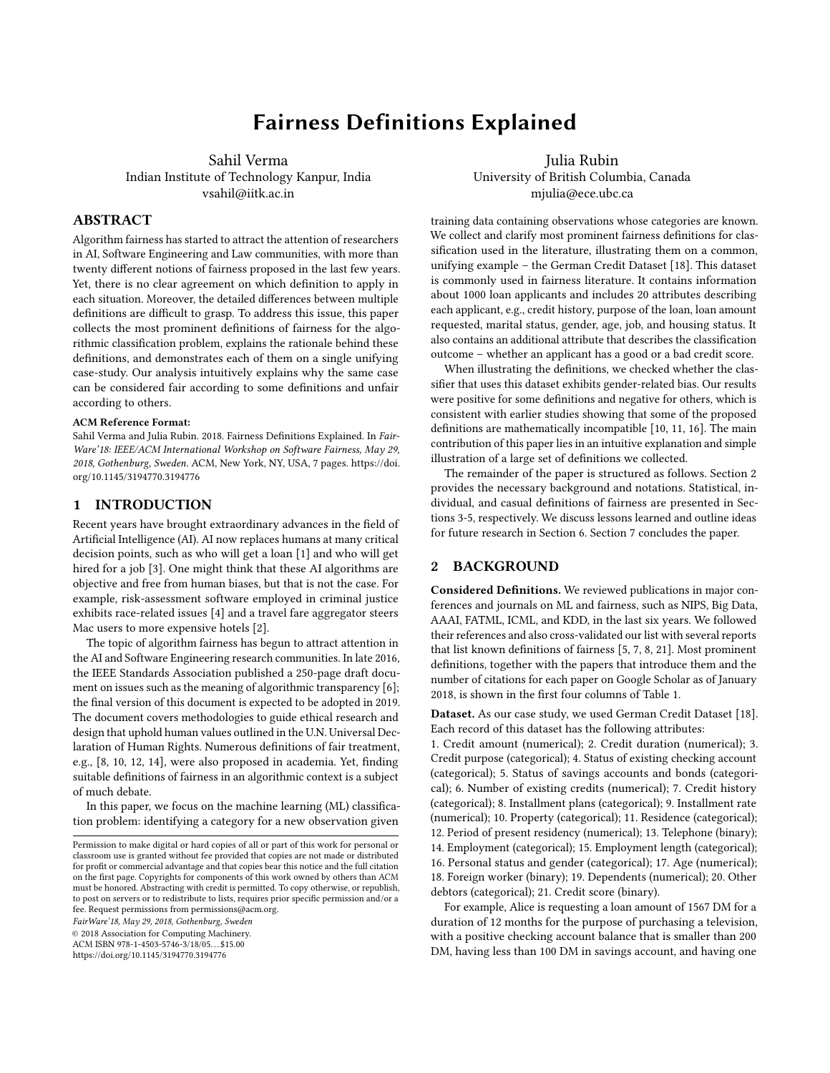# Fairness Definitions Explained

Sahil Verma Indian Institute of Technology Kanpur, India vsahil@iitk.ac.in

# ABSTRACT

Algorithm fairness has started to attract the attention of researchers in AI, Software Engineering and Law communities, with more than twenty different notions of fairness proposed in the last few years. Yet, there is no clear agreement on which definition to apply in each situation. Moreover, the detailed differences between multiple definitions are difficult to grasp. To address this issue, this paper collects the most prominent definitions of fairness for the algorithmic classification problem, explains the rationale behind these definitions, and demonstrates each of them on a single unifying case-study. Our analysis intuitively explains why the same case can be considered fair according to some definitions and unfair according to others.

# ACM Reference Format:

Sahil Verma and Julia Rubin. 2018. Fairness Definitions Explained. In Fair-Ware'18: IEEE/ACM International Workshop on Software Fairness, May 29, 2018, Gothenburg, Sweden. ACM, New York, NY, USA, [7](#page-6-0) pages. [https://doi.](https://doi.org/10.1145/3194770.3194776) [org/10.1145/3194770.3194776](https://doi.org/10.1145/3194770.3194776)

# 1 INTRODUCTION

Recent years have brought extraordinary advances in the field of Artificial Intelligence (AI). AI now replaces humans at many critical decision points, such as who will get a loan [\[1\]](#page-6-1) and who will get hired for a job [\[3\]](#page-6-2). One might think that these AI algorithms are objective and free from human biases, but that is not the case. For example, risk-assessment software employed in criminal justice exhibits race-related issues [\[4\]](#page-6-3) and a travel fare aggregator steers Mac users to more expensive hotels [\[2\]](#page-6-4).

The topic of algorithm fairness has begun to attract attention in the AI and Software Engineering research communities. In late 2016, the IEEE Standards Association published a 250-page draft document on issues such as the meaning of algorithmic transparency [\[6\]](#page-6-5); the final version of this document is expected to be adopted in 2019. The document covers methodologies to guide ethical research and design that uphold human values outlined in the U.N. Universal Declaration of Human Rights. Numerous definitions of fair treatment, e.g., [\[8,](#page-6-6) [10,](#page-6-7) [12,](#page-6-8) [14\]](#page-6-9), were also proposed in academia. Yet, finding suitable definitions of fairness in an algorithmic context is a subject of much debate.

In this paper, we focus on the machine learning (ML) classification problem: identifying a category for a new observation given

FairWare'18, May 29, 2018, Gothenburg, Sweden

© 2018 Association for Computing Machinery.

ACM ISBN 978-1-4503-5746-3/18/05. . . \$15.00

<https://doi.org/10.1145/3194770.3194776>

Julia Rubin University of British Columbia, Canada mjulia@ece.ubc.ca

training data containing observations whose categories are known. We collect and clarify most prominent fairness definitions for classification used in the literature, illustrating them on a common, unifying example – the German Credit Dataset [\[18\]](#page-6-10). This dataset is commonly used in fairness literature. It contains information about 1000 loan applicants and includes 20 attributes describing each applicant, e.g., credit history, purpose of the loan, loan amount requested, marital status, gender, age, job, and housing status. It also contains an additional attribute that describes the classification outcome – whether an applicant has a good or a bad credit score.

When illustrating the definitions, we checked whether the classifier that uses this dataset exhibits gender-related bias. Our results were positive for some definitions and negative for others, which is consistent with earlier studies showing that some of the proposed definitions are mathematically incompatible [\[10,](#page-6-7) [11,](#page-6-11) [16\]](#page-6-12). The main contribution of this paper lies in an intuitive explanation and simple illustration of a large set of definitions we collected.

The remainder of the paper is structured as follows. Section [2](#page-0-0) provides the necessary background and notations. Statistical, individual, and casual definitions of fairness are presented in Sections [3-](#page-1-0)[5,](#page-5-0) respectively. We discuss lessons learned and outline ideas for future research in Section [6.](#page-6-13) Section [7](#page-6-14) concludes the paper.

# <span id="page-0-0"></span>2 BACKGROUND

Considered Definitions. We reviewed publications in major conferences and journals on ML and fairness, such as NIPS, Big Data, AAAI, FATML, ICML, and KDD, in the last six years. We followed their references and also cross-validated our list with several reports that list known definitions of fairness [\[5,](#page-6-15) [7,](#page-6-16) [8,](#page-6-6) [21\]](#page-6-17). Most prominent definitions, together with the papers that introduce them and the number of citations for each paper on Google Scholar as of January 2018, is shown in the first four columns of Table [1.](#page-1-1)

Dataset. As our case study, we used German Credit Dataset [\[18\]](#page-6-10). Each record of this dataset has the following attributes:

1. Credit amount (numerical); 2. Credit duration (numerical); 3. Credit purpose (categorical); 4. Status of existing checking account (categorical); 5. Status of savings accounts and bonds (categorical); 6. Number of existing credits (numerical); 7. Credit history (categorical); 8. Installment plans (categorical); 9. Installment rate (numerical); 10. Property (categorical); 11. Residence (categorical); 12. Period of present residency (numerical); 13. Telephone (binary); 14. Employment (categorical); 15. Employment length (categorical); 16. Personal status and gender (categorical); 17. Age (numerical); 18. Foreign worker (binary); 19. Dependents (numerical); 20. Other debtors (categorical); 21. Credit score (binary).

For example, Alice is requesting a loan amount of 1567 DM for a duration of 12 months for the purpose of purchasing a television, with a positive checking account balance that is smaller than 200 DM, having less than 100 DM in savings account, and having one

Permission to make digital or hard copies of all or part of this work for personal or classroom use is granted without fee provided that copies are not made or distributed for profit or commercial advantage and that copies bear this notice and the full citation on the first page. Copyrights for components of this work owned by others than ACM must be honored. Abstracting with credit is permitted. To copy otherwise, or republish, to post on servers or to redistribute to lists, requires prior specific permission and/or a fee. Request permissions from permissions@acm.org.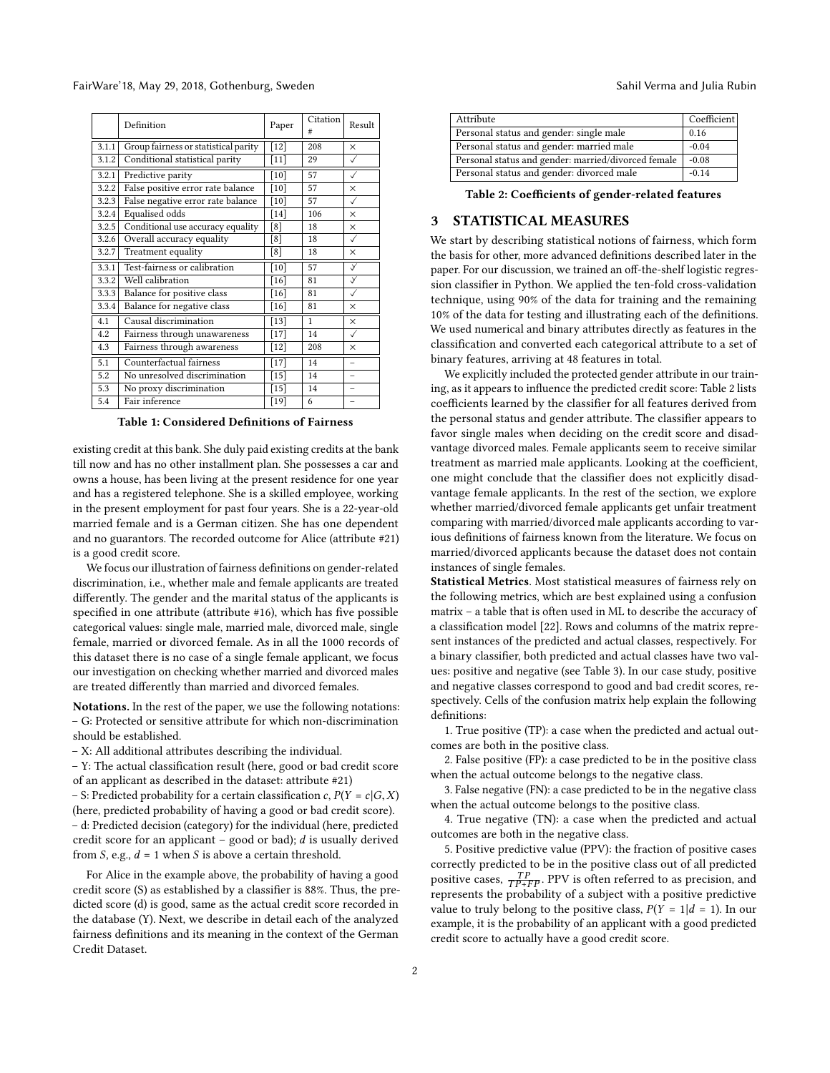<span id="page-1-1"></span>

|       | Definition                           | Paper  | Citation<br># | Result       |
|-------|--------------------------------------|--------|---------------|--------------|
| 3.1.1 | Group fairness or statistical parity | $[12]$ | 208           | X            |
| 3.1.2 | Conditional statistical parity       | $[11]$ | 29            |              |
| 3.2.1 | Predictive parity                    | [10]   | 57            | $\checkmark$ |
| 3.2.2 | False positive error rate balance    | $[10]$ | 57            | X            |
| 3.2.3 | False negative error rate balance    | $[10]$ | 57            | ✓            |
| 3.2.4 | Equalised odds                       | $[14]$ | 106           | $\times$     |
| 3.2.5 | Conditional use accuracy equality    | [8]    | 18            | X            |
| 3.2.6 | Overall accuracy equality            | [8]    | 18            | ✓            |
| 3.2.7 | Treatment equality                   | [8]    | 18            | X            |
| 3.3.1 | Test-fairness or calibration         | $[10]$ | 57            | Y            |
| 3.3.2 | Well calibration                     | $[16]$ | 81            | Y            |
| 3.3.3 | Balance for positive class           | $[16]$ | 81            | ✓            |
| 3.3.4 | Balance for negative class           | $[16]$ | 81            | $\times$     |
| 4.1   | Causal discrimination                | $[13]$ | 1             | $\times$     |
| 4.2   | Fairness through unawareness         | $[17]$ | 14            | ✓            |
| 4.3   | Fairness through awareness           |        | 208           | $\times$     |
| 5.1   | Counterfactual fairness              | $[17]$ | 14            | ÷            |
| 5.2   | No unresolved discrimination         | $[15]$ | 14            |              |
| 5.3   | No proxy discrimination              | $[15]$ | 14            | -            |
| 5.4   | Fair inference                       | [19]   | 6             |              |

#### FairWare'18, May 29, 2018, Gothenburg, Sweden Sahil Verma and Julia Rubin

Table 1: Considered Definitions of Fairness

existing credit at this bank. She duly paid existing credits at the bank till now and has no other installment plan. She possesses a car and owns a house, has been living at the present residence for one year and has a registered telephone. She is a skilled employee, working in the present employment for past four years. She is a 22-year-old married female and is a German citizen. She has one dependent and no guarantors. The recorded outcome for Alice (attribute #21) is a good credit score.

We focus our illustration of fairness definitions on gender-related discrimination, i.e., whether male and female applicants are treated differently. The gender and the marital status of the applicants is specified in one attribute (attribute #16), which has five possible categorical values: single male, married male, divorced male, single female, married or divorced female. As in all the 1000 records of this dataset there is no case of a single female applicant, we focus our investigation on checking whether married and divorced males are treated differently than married and divorced females.

Notations. In the rest of the paper, we use the following notations: – G: Protected or sensitive attribute for which non-discrimination should be established.

– X: All additional attributes describing the individual.

– Y: The actual classification result (here, good or bad credit score of an applicant as described in the dataset: attribute #21)

– S: Predicted probability for a certain classification c,  $P(Y = c|G, X)$ (here, predicted probability of having a good or bad credit score). – d: Predicted decision (category) for the individual (here, predicted credit score for an applicant – good or bad);  $d$  is usually derived from *S*, e.g.,  $d = 1$  when *S* is above a certain threshold.

For Alice in the example above, the probability of having a good credit score (S) as established by a classifier is 88%. Thus, the predicted score (d) is good, same as the actual credit score recorded in the database (Y). Next, we describe in detail each of the analyzed fairness definitions and its meaning in the context of the German Credit Dataset.

<span id="page-1-2"></span>

| Attribute                                           | Coefficient |
|-----------------------------------------------------|-------------|
| Personal status and gender: single male             | 0.16        |
| Personal status and gender: married male            | $-0.04$     |
| Personal status and gender: married/divorced female | $-0.08$     |
| Personal status and gender: divorced male           | $-0.14$     |

Table 2: Coefficients of gender-related features

#### <span id="page-1-0"></span>3 STATISTICAL MEASURES

We start by describing statistical notions of fairness, which form the basis for other, more advanced definitions described later in the paper. For our discussion, we trained an off-the-shelf logistic regression classifier in Python. We applied the ten-fold cross-validation technique, using 90% of the data for training and the remaining 10% of the data for testing and illustrating each of the definitions. We used numerical and binary attributes directly as features in the classification and converted each categorical attribute to a set of binary features, arriving at 48 features in total.

We explicitly included the protected gender attribute in our training, as it appears to influence the predicted credit score: Table [2](#page-1-2) lists coefficients learned by the classifier for all features derived from the personal status and gender attribute. The classifier appears to favor single males when deciding on the credit score and disadvantage divorced males. Female applicants seem to receive similar treatment as married male applicants. Looking at the coefficient, one might conclude that the classifier does not explicitly disadvantage female applicants. In the rest of the section, we explore whether married/divorced female applicants get unfair treatment comparing with married/divorced male applicants according to various definitions of fairness known from the literature. We focus on married/divorced applicants because the dataset does not contain instances of single females.

Statistical Metrics. Most statistical measures of fairness rely on the following metrics, which are best explained using a confusion matrix – a table that is often used in ML to describe the accuracy of a classification model [\[22\]](#page-6-22). Rows and columns of the matrix represent instances of the predicted and actual classes, respectively. For a binary classifier, both predicted and actual classes have two values: positive and negative (see Table [3\)](#page-2-0). In our case study, positive and negative classes correspond to good and bad credit scores, respectively. Cells of the confusion matrix help explain the following definitions:

1. True positive (TP): a case when the predicted and actual outcomes are both in the positive class.

2. False positive (FP): a case predicted to be in the positive class when the actual outcome belongs to the negative class.

3. False negative (FN): a case predicted to be in the negative class when the actual outcome belongs to the positive class.

4. True negative (TN): a case when the predicted and actual outcomes are both in the negative class.

5. Positive predictive value (PPV): the fraction of positive cases correctly predicted to be in the positive class out of all predicted positive cases,  $\frac{TP}{TP+FP}$ . PPV is often referred to as precision, and represents the probability of a subject with a positive predictive value to truly belong to the positive class,  $P(Y = 1|d = 1)$ . In our example, it is the probability of an applicant with a good predicted credit score to actually have a good credit score.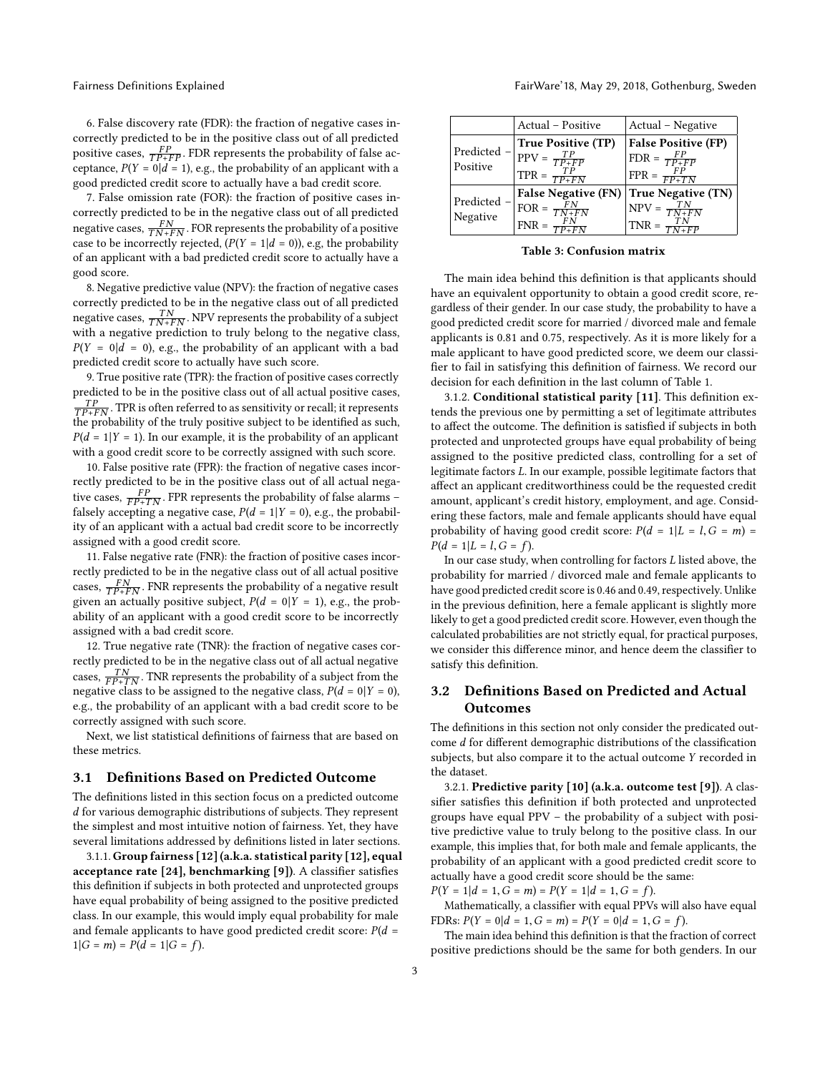6. False discovery rate (FDR): the fraction of negative cases incorrectly predicted to be in the positive class out of all predicted positive cases,  $\frac{FP}{TP+FP}$ . FDR represents the probability of false acceptance,  $P(Y = 0|d = 1)$ , e.g., the probability of an applicant with a good predicted credit score to actually have a bad credit score.

7. False omission rate (FOR): the fraction of positive cases incorrectly predicted to be in the negative class out of all predicted negative cases,  $\frac{FN}{TN+FN}$ . FOR represents the probability of a positive case to be incorrectly rejected,  $(P(Y = 1 | d = 0))$ , e.g, the probability of an applicant with a bad predicted credit score to actually have a good score.

8. Negative predictive value (NPV): the fraction of negative cases correctly predicted to be in the negative class out of all predicted negative cases,  $\frac{TN}{TN+FN}$ . NPV represents the probability of a subject with a negative prediction to truly belong to the negative class,  $P(Y = 0|d = 0)$ , e.g., the probability of an applicant with a bad predicted credit score to actually have such score.

9. True positive rate (TPR): the fraction of positive cases correctly predicted to be in the positive class out of all actual positive cases,  $\frac{TP}{TP+FN}$  . TPR is often referred to as sensitivity or recall; it represents the probability of the truly positive subject to be identified as such,  $P(d = 1|Y = 1)$ . In our example, it is the probability of an applicant with a good credit score to be correctly assigned with such score.

10. False positive rate (FPR): the fraction of negative cases incorrectly predicted to be in the positive class out of all actual negative cases,  $\frac{FP}{FP+TN}$ . FPR represents the probability of false alarms – falsely accepting a negative case,  $P(d = 1 | Y = 0)$ , e.g., the probability of an applicant with a actual bad credit score to be incorrectly assigned with a good credit score.

11. False negative rate (FNR): the fraction of positive cases incorrectly predicted to be in the negative class out of all actual positive cases,  $\frac{FN}{TP+FN}$ . FNR represents the probability of a negative result given an actually positive subject,  $P(d = 0|Y = 1)$ , e.g., the probability of an applicant with a good credit score to be incorrectly assigned with a bad credit score.

12. True negative rate (TNR): the fraction of negative cases correctly predicted to be in the negative class out of all actual negative cases,  $\frac{TN}{FP+TN}$ . TNR represents the probability of a subject from the negative class to be assigned to the negative class,  $P(d = 0|Y = 0)$ , e.g., the probability of an applicant with a bad credit score to be correctly assigned with such score.

Next, we list statistical definitions of fairness that are based on these metrics.

#### 3.1 Definitions Based on Predicted Outcome

The definitions listed in this section focus on a predicted outcome d for various demographic distributions of subjects. They represent the simplest and most intuitive notion of fairness. Yet, they have several limitations addressed by definitions listed in later sections.

3.1.1. Group fairness [\[12\]](#page-6-8) (a.k.a. statistical parity [\[12\]](#page-6-8), equal acceptance rate [\[24\]](#page-6-23), benchmarking [\[9\]](#page-6-24)). A classifier satisfies this definition if subjects in both protected and unprotected groups have equal probability of being assigned to the positive predicted class. In our example, this would imply equal probability for male and female applicants to have good predicted credit score:  $P(d =$  $1|G = m) = P(d = 1|G = f).$ 

<span id="page-2-0"></span>

|                       | Actual - Positive                                                            | Actual - Negative                                                                      |
|-----------------------|------------------------------------------------------------------------------|----------------------------------------------------------------------------------------|
| Predicted<br>Positive | True Positive (TP)<br>$PPV = \frac{TP}{TP+FP}$<br>$TPR = \frac{TP}{TP + FN}$ | <b>False Positive (FP)</b><br>$FDR = \frac{FP}{TP + FP}$<br>$FPR = \frac{FP}{FP + TN}$ |
| Predicted<br>Negative | $\text{FOR} = \frac{FN}{TN+FN}$                                              | False Negative (FN) True Negative (TN)                                                 |

Table 3: Confusion matrix

The main idea behind this definition is that applicants should have an equivalent opportunity to obtain a good credit score, regardless of their gender. In our case study, the probability to have a good predicted credit score for married / divorced male and female applicants is 0.81 and 0.75, respectively. As it is more likely for a male applicant to have good predicted score, we deem our classifier to fail in satisfying this definition of fairness. We record our decision for each definition in the last column of Table [1.](#page-1-1)

3.1.2. Conditional statistical parity [\[11\]](#page-6-11). This definition extends the previous one by permitting a set of legitimate attributes to affect the outcome. The definition is satisfied if subjects in both protected and unprotected groups have equal probability of being assigned to the positive predicted class, controlling for a set of legitimate factors L. In our example, possible legitimate factors that affect an applicant creditworthiness could be the requested credit amount, applicant's credit history, employment, and age. Considering these factors, male and female applicants should have equal probability of having good credit score:  $P(d = 1 | L = l, G = m)$  $P(d = 1 | L = l, G = f).$ 

In our case study, when controlling for factors L listed above, the probability for married / divorced male and female applicants to have good predicted credit score is 0.46 and 0.49, respectively. Unlike in the previous definition, here a female applicant is slightly more likely to get a good predicted credit score. However, even though the calculated probabilities are not strictly equal, for practical purposes, we consider this difference minor, and hence deem the classifier to satisfy this definition.

# 3.2 Definitions Based on Predicted and Actual Outcomes

The definitions in this section not only consider the predicated outcome d for different demographic distributions of the classification subjects, but also compare it to the actual outcome Y recorded in the dataset.

3.2.1. Predictive parity [\[10\]](#page-6-7) (a.k.a. outcome test [\[9\]](#page-6-24)). A classifier satisfies this definition if both protected and unprotected groups have equal PPV – the probability of a subject with positive predictive value to truly belong to the positive class. In our example, this implies that, for both male and female applicants, the probability of an applicant with a good predicted credit score to actually have a good credit score should be the same:

 $P(Y = 1|d = 1, G = m) = P(Y = 1|d = 1, G = f).$ 

Mathematically, a classifier with equal PPVs will also have equal FDRs:  $P(Y = 0 | d = 1, G = m) = P(Y = 0 | d = 1, G = f)$ .

The main idea behind this definition is that the fraction of correct positive predictions should be the same for both genders. In our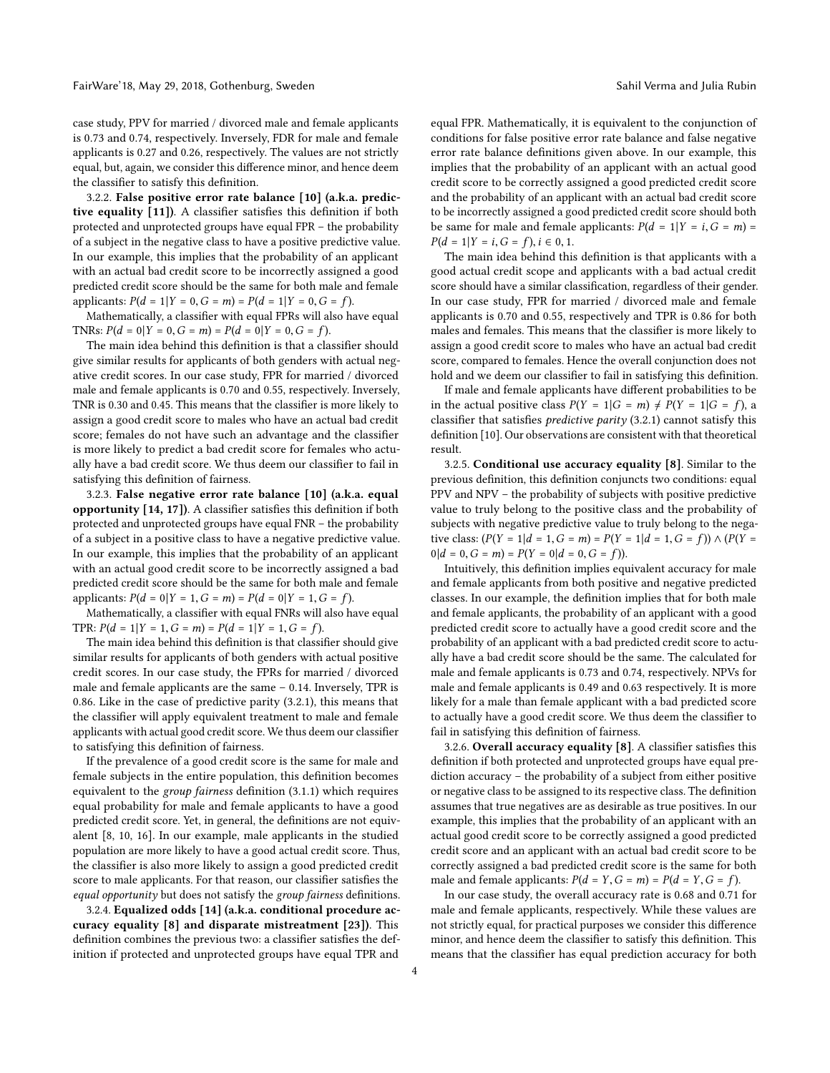case study, PPV for married / divorced male and female applicants is 0.73 and 0.74, respectively. Inversely, FDR for male and female applicants is 0.27 and 0.26, respectively. The values are not strictly equal, but, again, we consider this difference minor, and hence deem the classifier to satisfy this definition.

3.2.2. False positive error rate balance [\[10\]](#page-6-7) (a.k.a. predictive equality [\[11\]](#page-6-11)). A classifier satisfies this definition if both protected and unprotected groups have equal FPR – the probability of a subject in the negative class to have a positive predictive value. In our example, this implies that the probability of an applicant with an actual bad credit score to be incorrectly assigned a good predicted credit score should be the same for both male and female applicants:  $P(d = 1 | Y = 0, G = m) = P(d = 1 | Y = 0, G = f).$ 

Mathematically, a classifier with equal FPRs will also have equal TNRs:  $P(d = 0 | Y = 0, G = m) = P(d = 0 | Y = 0, G = f).$ 

The main idea behind this definition is that a classifier should give similar results for applicants of both genders with actual negative credit scores. In our case study, FPR for married / divorced male and female applicants is 0.70 and 0.55, respectively. Inversely, TNR is 0.30 and 0.45. This means that the classifier is more likely to assign a good credit score to males who have an actual bad credit score; females do not have such an advantage and the classifier is more likely to predict a bad credit score for females who actually have a bad credit score. We thus deem our classifier to fail in satisfying this definition of fairness.

3.2.3. False negative error rate balance [\[10\]](#page-6-7) (a.k.a. equal opportunity [\[14,](#page-6-9) [17\]](#page-6-19)). A classifier satisfies this definition if both protected and unprotected groups have equal FNR – the probability of a subject in a positive class to have a negative predictive value. In our example, this implies that the probability of an applicant with an actual good credit score to be incorrectly assigned a bad predicted credit score should be the same for both male and female applicants:  $P(d = 0 | Y = 1, G = m) = P(d = 0 | Y = 1, G = f)$ .

Mathematically, a classifier with equal FNRs will also have equal TPR:  $P(d = 1 | Y = 1, G = m) = P(d = 1 | Y = 1, G = f)$ .

The main idea behind this definition is that classifier should give similar results for applicants of both genders with actual positive credit scores. In our case study, the FPRs for married / divorced male and female applicants are the same – 0.14. Inversely, TPR is 0.86. Like in the case of predictive parity (3.2.1), this means that the classifier will apply equivalent treatment to male and female applicants with actual good credit score. We thus deem our classifier to satisfying this definition of fairness.

If the prevalence of a good credit score is the same for male and female subjects in the entire population, this definition becomes equivalent to the group fairness definition (3.1.1) which requires equal probability for male and female applicants to have a good predicted credit score. Yet, in general, the definitions are not equivalent [\[8,](#page-6-6) [10,](#page-6-7) [16\]](#page-6-12). In our example, male applicants in the studied population are more likely to have a good actual credit score. Thus, the classifier is also more likely to assign a good predicted credit score to male applicants. For that reason, our classifier satisfies the equal opportunity but does not satisfy the group fairness definitions.

3.2.4. Equalized odds [\[14\]](#page-6-9) (a.k.a. conditional procedure accuracy equality [\[8\]](#page-6-6) and disparate mistreatment [\[23\]](#page-6-25)). This definition combines the previous two: a classifier satisfies the definition if protected and unprotected groups have equal TPR and

equal FPR. Mathematically, it is equivalent to the conjunction of conditions for false positive error rate balance and false negative error rate balance definitions given above. In our example, this implies that the probability of an applicant with an actual good credit score to be correctly assigned a good predicted credit score and the probability of an applicant with an actual bad credit score to be incorrectly assigned a good predicted credit score should both be same for male and female applicants:  $P(d = 1|Y = i, G = m)$  =  $P(d = 1 | Y = i, G = f), i \in 0, 1.$ 

The main idea behind this definition is that applicants with a good actual credit scope and applicants with a bad actual credit score should have a similar classification, regardless of their gender. In our case study, FPR for married / divorced male and female applicants is 0.70 and 0.55, respectively and TPR is 0.86 for both males and females. This means that the classifier is more likely to assign a good credit score to males who have an actual bad credit score, compared to females. Hence the overall conjunction does not hold and we deem our classifier to fail in satisfying this definition.

If male and female applicants have different probabilities to be in the actual positive class  $P(Y = 1|G = m) \neq P(Y = 1|G = f)$ , a classifier that satisfies predictive parity (3.2.1) cannot satisfy this definition [\[10\]](#page-6-7). Our observations are consistent with that theoretical result.

3.2.5. Conditional use accuracy equality [\[8\]](#page-6-6). Similar to the previous definition, this definition conjuncts two conditions: equal PPV and NPV – the probability of subjects with positive predictive value to truly belong to the positive class and the probability of subjects with negative predictive value to truly belong to the negative class:  $(P(Y = 1 | d = 1, G = m) = P(Y = 1 | d = 1, G = f)) \wedge (P(Y =$  $0|d = 0, G = m$  =  $P(Y = 0|d = 0, G = f)$ .

Intuitively, this definition implies equivalent accuracy for male and female applicants from both positive and negative predicted classes. In our example, the definition implies that for both male and female applicants, the probability of an applicant with a good predicted credit score to actually have a good credit score and the probability of an applicant with a bad predicted credit score to actually have a bad credit score should be the same. The calculated for male and female applicants is 0.73 and 0.74, respectively. NPVs for male and female applicants is 0.49 and 0.63 respectively. It is more likely for a male than female applicant with a bad predicted score to actually have a good credit score. We thus deem the classifier to fail in satisfying this definition of fairness.

3.2.6. Overall accuracy equality [\[8\]](#page-6-6). A classifier satisfies this definition if both protected and unprotected groups have equal prediction accuracy – the probability of a subject from either positive or negative class to be assigned to its respective class. The definition assumes that true negatives are as desirable as true positives. In our example, this implies that the probability of an applicant with an actual good credit score to be correctly assigned a good predicted credit score and an applicant with an actual bad credit score to be correctly assigned a bad predicted credit score is the same for both male and female applicants:  $P(d = Y, G = m) = P(d = Y, G = f)$ .

In our case study, the overall accuracy rate is 0.68 and 0.71 for male and female applicants, respectively. While these values are not strictly equal, for practical purposes we consider this difference minor, and hence deem the classifier to satisfy this definition. This means that the classifier has equal prediction accuracy for both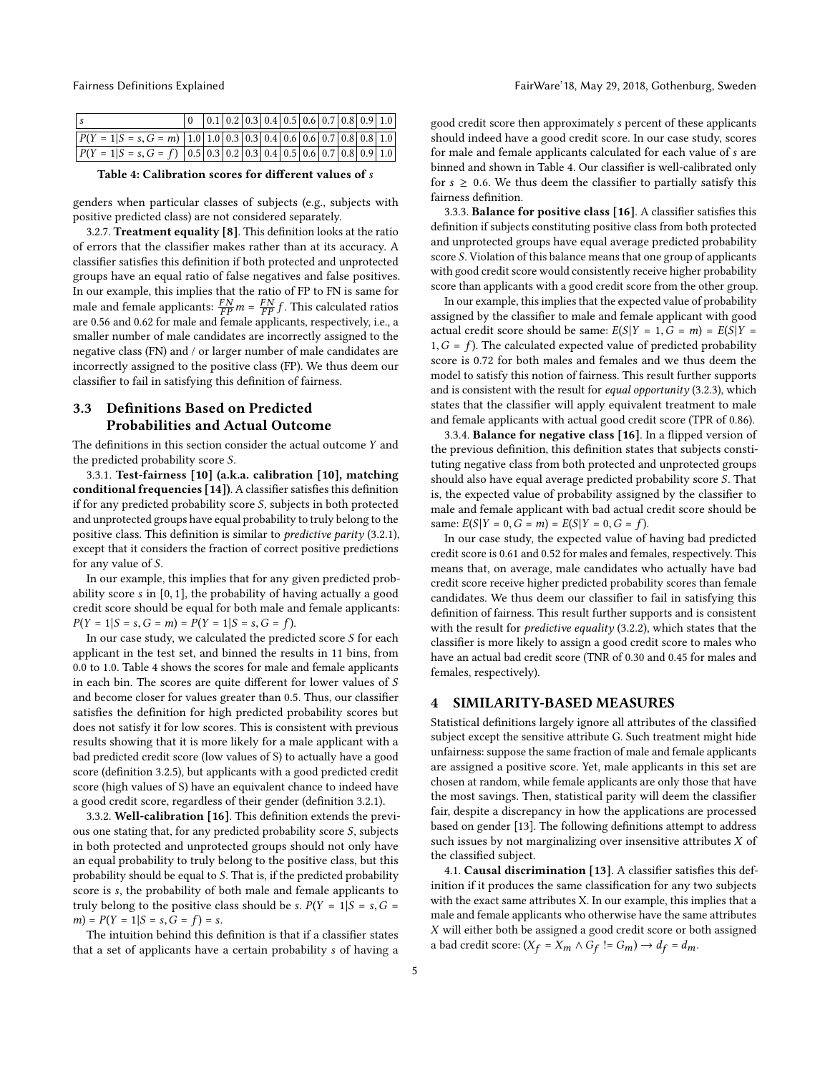<span id="page-4-0"></span>

| $P(Y = 1 S = s, G = m)$ 1.0 1.0 0.3 0.3 0.4 0.6 0.6 0.7 0.8 0.8 1.0 |  |  |  |  |  |  |
|---------------------------------------------------------------------|--|--|--|--|--|--|
| $P(Y = 1 S = s, G = f)$ 0.5 0.3 0.2 0.3 0.4 0.5 0.6 0.7 0.8 0.9 1.0 |  |  |  |  |  |  |
|                                                                     |  |  |  |  |  |  |

Table 4: Calibration scores for different values of s

genders when particular classes of subjects (e.g., subjects with positive predicted class) are not considered separately.

3.2.7. Treatment equality [\[8\]](#page-6-6). This definition looks at the ratio of errors that the classifier makes rather than at its accuracy. A classifier satisfies this definition if both protected and unprotected groups have an equal ratio of false negatives and false positives. In our example, this implies that the ratio of FP to FN is same for male and female applicants:  $\frac{FN}{FP}m = \frac{FN}{FP}f$ . This calculated ratios are 0.56 and 0.62 for male and female applicants, respectively, i.e., a smaller number of male candidates are incorrectly assigned to the negative class (FN) and / or larger number of male candidates are incorrectly assigned to the positive class (FP). We thus deem our classifier to fail in satisfying this definition of fairness.

# 3.3 Definitions Based on Predicted Probabilities and Actual Outcome

The definitions in this section consider the actual outcome Y and the predicted probability score S.

3.3.1. Test-fairness [\[10\]](#page-6-7) (a.k.a. calibration [\[10\]](#page-6-7), matching conditional frequencies [\[14\]](#page-6-9)). A classifier satisfies this definition if for any predicted probability score S, subjects in both protected and unprotected groups have equal probability to truly belong to the positive class. This definition is similar to predictive parity (3.2.1), except that it considers the fraction of correct positive predictions for any value of S.

In our example, this implies that for any given predicted probability score s in [0, 1], the probability of having actually a good credit score should be equal for both male and female applicants:  $P(Y = 1|S = s, G = m) = P(Y = 1|S = s, G = f).$ 

In our case study, we calculated the predicted score S for each applicant in the test set, and binned the results in 11 bins, from 0.0 to 1.0. Table [4](#page-4-0) shows the scores for male and female applicants in each bin. The scores are quite different for lower values of S and become closer for values greater than 0.5. Thus, our classifier satisfies the definition for high predicted probability scores but does not satisfy it for low scores. This is consistent with previous results showing that it is more likely for a male applicant with a bad predicted credit score (low values of S) to actually have a good score (definition 3.2.5), but applicants with a good predicted credit score (high values of S) have an equivalent chance to indeed have a good credit score, regardless of their gender (definition 3.2.1).

3.3.2. Well-calibration [\[16\]](#page-6-12). This definition extends the previous one stating that, for any predicted probability score S, subjects in both protected and unprotected groups should not only have an equal probability to truly belong to the positive class, but this probability should be equal to S. That is, if the predicted probability score is s, the probability of both male and female applicants to truly belong to the positive class should be s.  $P(Y = 1|S = s, G =$  $m$ ) =  $P(Y = 1 | S = s, G = f) = s$ .

The intuition behind this definition is that if a classifier states that a set of applicants have a certain probability s of having a

good credit score then approximately s percent of these applicants should indeed have a good credit score. In our case study, scores for male and female applicants calculated for each value of s are binned and shown in Table [4.](#page-4-0) Our classifier is well-calibrated only for  $s \geq 0.6$ . We thus deem the classifier to partially satisfy this fairness definition.

3.3.3. Balance for positive class [\[16\]](#page-6-12). A classifier satisfies this definition if subjects constituting positive class from both protected and unprotected groups have equal average predicted probability score S. Violation of this balance means that one group of applicants with good credit score would consistently receive higher probability score than applicants with a good credit score from the other group.

In our example, this implies that the expected value of probability assigned by the classifier to male and female applicant with good actual credit score should be same:  $E(S|Y = 1, G = m) = E(S|Y =$  $1, G = f$ ). The calculated expected value of predicted probability score is 0.72 for both males and females and we thus deem the model to satisfy this notion of fairness. This result further supports and is consistent with the result for *equal opportunity*  $(3.2.3)$ , which states that the classifier will apply equivalent treatment to male and female applicants with actual good credit score (TPR of 0.86).

3.3.4. Balance for negative class [\[16\]](#page-6-12). In a flipped version of the previous definition, this definition states that subjects constituting negative class from both protected and unprotected groups should also have equal average predicted probability score S. That is, the expected value of probability assigned by the classifier to male and female applicant with bad actual credit score should be same:  $E(S|Y = 0, G = m) = E(S|Y = 0, G = f)$ .

In our case study, the expected value of having bad predicted credit score is 0.61 and 0.52 for males and females, respectively. This means that, on average, male candidates who actually have bad credit score receive higher predicted probability scores than female candidates. We thus deem our classifier to fail in satisfying this definition of fairness. This result further supports and is consistent with the result for *predictive equality* (3.2.2), which states that the classifier is more likely to assign a good credit score to males who have an actual bad credit score (TNR of 0.30 and 0.45 for males and females, respectively).

## <span id="page-4-1"></span>4 SIMILARITY-BASED MEASURES

Statistical definitions largely ignore all attributes of the classified subject except the sensitive attribute G. Such treatment might hide unfairness: suppose the same fraction of male and female applicants are assigned a positive score. Yet, male applicants in this set are chosen at random, while female applicants are only those that have the most savings. Then, statistical parity will deem the classifier fair, despite a discrepancy in how the applications are processed based on gender [\[13\]](#page-6-18). The following definitions attempt to address such issues by not marginalizing over insensitive attributes  $X$  of the classified subject.

4.1. Causal discrimination [\[13\]](#page-6-18). A classifier satisfies this definition if it produces the same classification for any two subjects with the exact same attributes X. In our example, this implies that a male and female applicants who otherwise have the same attributes X will either both be assigned a good credit score or both assigned a bad credit score:  $(X_f = X_m \wedge G_f := G_m) \rightarrow d_f = d_m$ .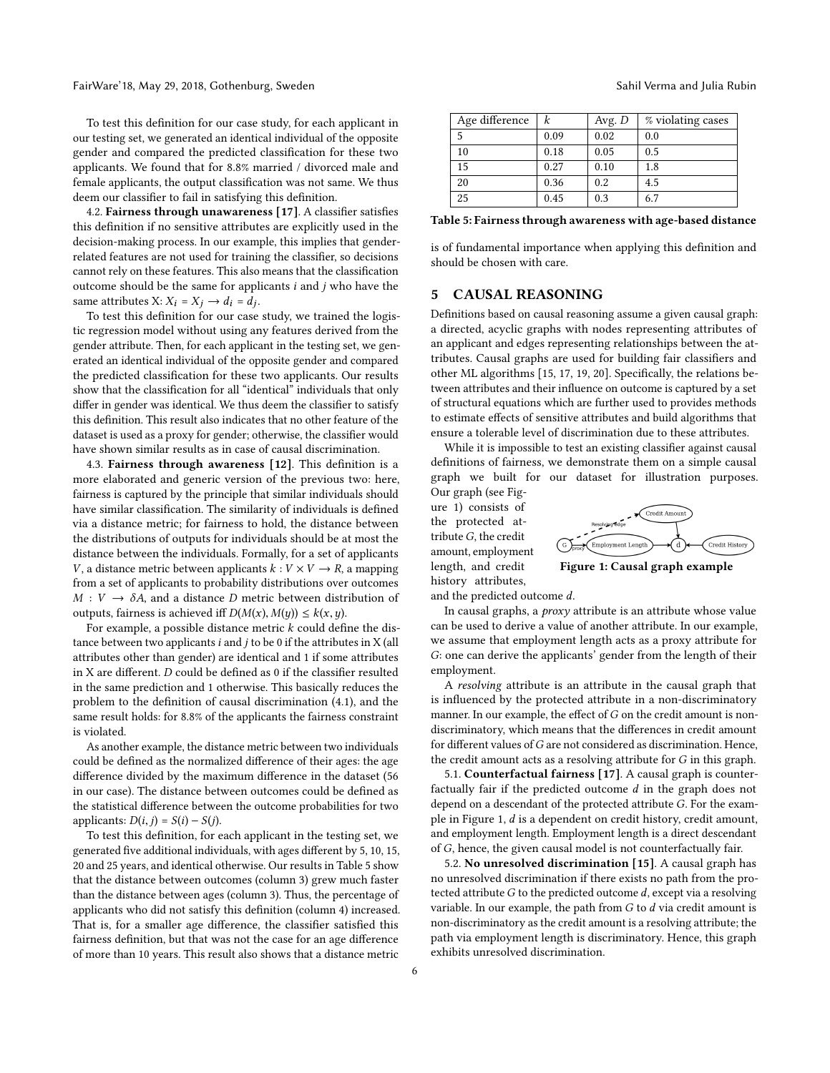To test this definition for our case study, for each applicant in our testing set, we generated an identical individual of the opposite gender and compared the predicted classification for these two applicants. We found that for 8.8% married / divorced male and female applicants, the output classification was not same. We thus deem our classifier to fail in satisfying this definition.

4.2. Fairness through unawareness [\[17\]](#page-6-19). A classifier satisfies this definition if no sensitive attributes are explicitly used in the decision-making process. In our example, this implies that genderrelated features are not used for training the classifier, so decisions cannot rely on these features. This also means that the classification outcome should be the same for applicants  $i$  and  $j$  who have the same attributes X:  $X_i = X_j \rightarrow d_i = d_j$ .<br>To test this definition for our case.

To test this definition for our case study, we trained the logistic regression model without using any features derived from the gender attribute. Then, for each applicant in the testing set, we generated an identical individual of the opposite gender and compared the predicted classification for these two applicants. Our results show that the classification for all "identical" individuals that only differ in gender was identical. We thus deem the classifier to satisfy this definition. This result also indicates that no other feature of the dataset is used as a proxy for gender; otherwise, the classifier would have shown similar results as in case of causal discrimination.

4.3. Fairness through awareness [\[12\]](#page-6-8). This definition is a more elaborated and generic version of the previous two: here, fairness is captured by the principle that similar individuals should have similar classification. The similarity of individuals is defined via a distance metric; for fairness to hold, the distance between the distributions of outputs for individuals should be at most the distance between the individuals. Formally, for a set of applicants V, a distance metric between applicants  $k: V \times V \rightarrow R$ , a mapping from a set of applicants to probability distributions over outcomes  $M: V \rightarrow \delta A$ , and a distance D metric between distribution of outputs, fairness is achieved iff  $D(M(x), M(y)) \leq k(x, y)$ .

For example, a possible distance metric  $k$  could define the distance between two applicants  $i$  and  $j$  to be 0 if the attributes in X (all attributes other than gender) are identical and 1 if some attributes in X are different. D could be defined as 0 if the classifier resulted in the same prediction and 1 otherwise. This basically reduces the problem to the definition of causal discrimination (4.1), and the same result holds: for 8.8% of the applicants the fairness constraint is violated.

As another example, the distance metric between two individuals could be defined as the normalized difference of their ages: the age difference divided by the maximum difference in the dataset (56 in our case). The distance between outcomes could be defined as the statistical difference between the outcome probabilities for two applicants:  $D(i, j) = S(i) - S(j)$ .

To test this definition, for each applicant in the testing set, we generated five additional individuals, with ages different by 5, 10, 15, 20 and 25 years, and identical otherwise. Our results in Table [5](#page-5-1) show that the distance between outcomes (column 3) grew much faster than the distance between ages (column 3). Thus, the percentage of applicants who did not satisfy this definition (column 4) increased. That is, for a smaller age difference, the classifier satisfied this fairness definition, but that was not the case for an age difference of more than 10 years. This result also shows that a distance metric

<span id="page-5-1"></span>

| Age difference | k    | Avg. $D$ | % violating cases |
|----------------|------|----------|-------------------|
|                | 0.09 | 0.02     | 0.0               |
| 10             | 0.18 | 0.05     | 0.5               |
| 15             | 0.27 | 0.10     | 1.8               |
| 20             | 0.36 | 0.2      | 4.5               |
| 25             | 0.45 | 0.3      | 6.7               |

Table 5: Fairness through awareness with age-based distance

is of fundamental importance when applying this definition and should be chosen with care.

# <span id="page-5-0"></span>5 CAUSAL REASONING

Definitions based on causal reasoning assume a given causal graph: a directed, acyclic graphs with nodes representing attributes of an applicant and edges representing relationships between the attributes. Causal graphs are used for building fair classifiers and other ML algorithms [\[15,](#page-6-20) [17,](#page-6-19) [19,](#page-6-21) [20\]](#page-6-26). Specifically, the relations between attributes and their influence on outcome is captured by a set of structural equations which are further used to provides methods to estimate effects of sensitive attributes and build algorithms that ensure a tolerable level of discrimination due to these attributes.

While it is impossible to test an existing classifier against causal definitions of fairness, we demonstrate them on a simple causal graph we built for our dataset for illustration purposes. Our graph (see Fig-

ure [1\)](#page-5-2) consists of the protected attributeG, the credit amount, employment length, and credit history attributes,

<span id="page-5-2"></span>

Figure 1: Causal graph example

and the predicted outcome d.

In causal graphs, a proxy attribute is an attribute whose value can be used to derive a value of another attribute. In our example, we assume that employment length acts as a proxy attribute for G: one can derive the applicants' gender from the length of their employment.

A resolving attribute is an attribute in the causal graph that is influenced by the protected attribute in a non-discriminatory manner. In our example, the effect of G on the credit amount is nondiscriminatory, which means that the differences in credit amount for different values of  $G$  are not considered as discrimination. Hence, the credit amount acts as a resolving attribute for G in this graph.

5.1. Counterfactual fairness [\[17\]](#page-6-19). A causal graph is counterfactually fair if the predicted outcome d in the graph does not depend on a descendant of the protected attribute G. For the example in Figure [1,](#page-5-2) d is a dependent on credit history, credit amount, and employment length. Employment length is a direct descendant of G, hence, the given causal model is not counterfactually fair.

5.2. No unresolved discrimination [\[15\]](#page-6-20). A causal graph has no unresolved discrimination if there exists no path from the protected attribute  $G$  to the predicted outcome  $d$ , except via a resolving variable. In our example, the path from  $G$  to  $d$  via credit amount is non-discriminatory as the credit amount is a resolving attribute; the path via employment length is discriminatory. Hence, this graph exhibits unresolved discrimination.